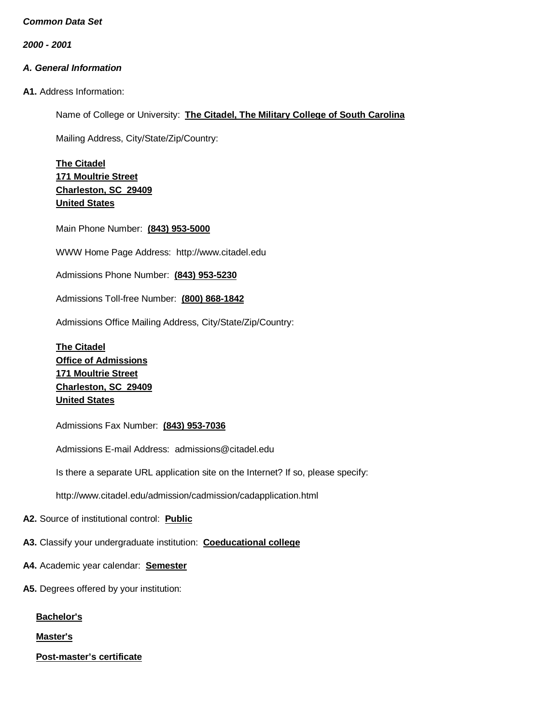*2000 - 2001*

# *A. General Information*

**A1.** Address Information:

Name of College or University: **The Citadel, The Military College of South Carolina**

Mailing Address, City/State/Zip/Country:

**The Citadel 171 Moultrie Street Charleston, SC 29409 United States**

Main Phone Number: **(843) 953-5000**

WWW Home Page Address: [http://www.citadel.edu](http://www.citadel.edu/)

Admissions Phone Number: **(843) 953-5230**

Admissions Toll-free Number: **(800) 868-1842**

Admissions Office Mailing Address, City/State/Zip/Country:

**The Citadel Office of Admissions 171 Moultrie Street Charleston, SC 29409 United States**

Admissions Fax Number: **(843) 953-7036**

Admissions E-mail Address: [admissions@citadel.edu](mailto:admissions@citadel.edu)

Is there a separate URL application site on the Internet? If so, please specify:

<http://www.citadel.edu/admission/cadmission/cadapplication.html>

**A2.** Source of institutional control: **Public**

**A3.** Classify your undergraduate institution: **Coeducational college**

- **A4.** Academic year calendar: **Semester**
- **A5.** Degrees offered by your institution:

**Bachelor's**

**Master's**

**Post-master's certificate**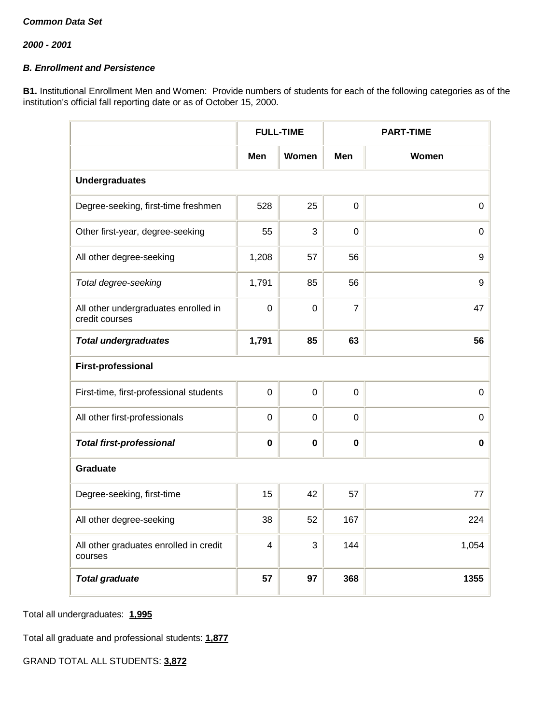# *B. Enrollment and Persistence*

**B1.** Institutional Enrollment Men and Women: Provide numbers of students for each of the following categories as of the institution's official fall reporting date or as of October 15, 2000.

|                                                        |                | <b>FULL-TIME</b> |                | <b>PART-TIME</b> |  |  |  |
|--------------------------------------------------------|----------------|------------------|----------------|------------------|--|--|--|
|                                                        | Men            | Women            | <b>Men</b>     | Women            |  |  |  |
| <b>Undergraduates</b>                                  |                |                  |                |                  |  |  |  |
| Degree-seeking, first-time freshmen                    | 528            | 25               | $\mathbf 0$    | $\mathbf 0$      |  |  |  |
| Other first-year, degree-seeking                       | 55             | 3                | $\Omega$       | $\mathbf 0$      |  |  |  |
| All other degree-seeking                               | 1,208          | 57               | 56             | $\boldsymbol{9}$ |  |  |  |
| Total degree-seeking                                   | 1,791          | 85               | 56             | $\boldsymbol{9}$ |  |  |  |
| All other undergraduates enrolled in<br>credit courses | $\mathbf 0$    | 0                | $\overline{7}$ | 47               |  |  |  |
| <b>Total undergraduates</b>                            | 1,791          | 85               | 63             | 56               |  |  |  |
| <b>First-professional</b>                              |                |                  |                |                  |  |  |  |
| First-time, first-professional students                | 0              | 0                | $\mathbf 0$    | $\mathbf 0$      |  |  |  |
| All other first-professionals                          | $\overline{0}$ | $\overline{0}$   | $\mathbf 0$    | $\mathbf 0$      |  |  |  |
| <b>Total first-professional</b>                        | $\mathbf 0$    | $\mathbf 0$      | $\mathbf 0$    | 0                |  |  |  |
| Graduate                                               |                |                  |                |                  |  |  |  |
| Degree-seeking, first-time                             | 15             | 42               | 57             | 77               |  |  |  |
| All other degree-seeking                               | 38             | 52               | 167            | 224              |  |  |  |
| All other graduates enrolled in credit<br>courses      | 4              | 3                | 144            | 1,054            |  |  |  |
| <b>Total graduate</b>                                  | 57             | 97               | 368            | 1355             |  |  |  |

Total all undergraduates: **1,995**

Total all graduate and professional students: **1,877**

GRAND TOTAL ALL STUDENTS: **3,872**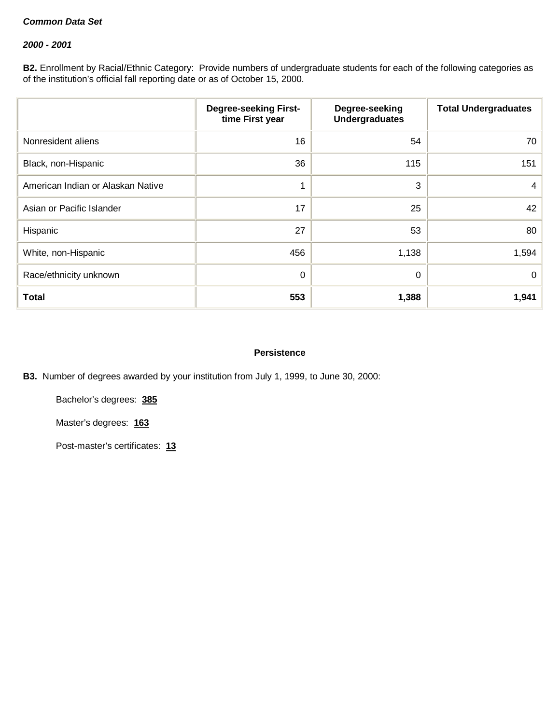#### *2000 - 2001*

**B2.** Enrollment by Racial/Ethnic Category: Provide numbers of undergraduate students for each of the following categories as of the institution's official fall reporting date or as of October 15, 2000.

|                                   | <b>Degree-seeking First-</b><br>time First year | Degree-seeking<br><b>Undergraduates</b> | <b>Total Undergraduates</b> |
|-----------------------------------|-------------------------------------------------|-----------------------------------------|-----------------------------|
| Nonresident aliens                | 16                                              | 54                                      | 70                          |
| Black, non-Hispanic               | 36                                              | 115                                     | 151                         |
| American Indian or Alaskan Native | 1                                               | 3                                       | 4                           |
| Asian or Pacific Islander         | 17                                              | 25                                      | 42                          |
| Hispanic                          | 27                                              | 53                                      | 80                          |
| White, non-Hispanic               | 456                                             | 1,138                                   | 1,594                       |
| Race/ethnicity unknown            | 0                                               | 0                                       | $\mathbf{0}$                |
| <b>Total</b>                      | 553                                             | 1,388                                   | 1,941                       |

#### **Persistence**

**B3.** Number of degrees awarded by your institution from July 1, 1999, to June 30, 2000:

Bachelor's degrees: **385**

Master's degrees: **163**

Post-master's certificates: **13**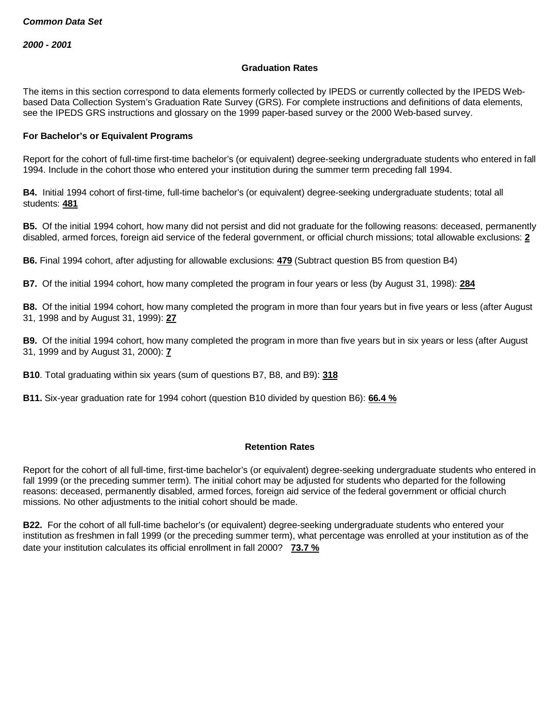#### **Graduation Rates**

The items in this section correspond to data elements formerly collected by IPEDS or currently collected by the IPEDS Webbased Data Collection System's Graduation Rate Survey (GRS). For complete instructions and definitions of data elements, see the IPEDS GRS instructions and glossary on the 1999 paper-based survey or the 2000 Web-based survey.

#### **For Bachelor's or Equivalent Programs**

Report for the cohort of full-time first-time bachelor's (or equivalent) degree-seeking undergraduate students who entered in fall 1994. Include in the cohort those who entered your institution during the summer term preceding fall 1994.

**B4.** Initial 1994 cohort of first-time, full-time bachelor's (or equivalent) degree-seeking undergraduate students; total all students: **481**

**B5.** Of the initial 1994 cohort, how many did not persist and did not graduate for the following reasons: deceased, permanently disabled, armed forces, foreign aid service of the federal government, or official church missions; total allowable exclusions: **2**

**B6.** Final 1994 cohort, after adjusting for allowable exclusions: **479** (Subtract question B5 from question B4)

**B7.** Of the initial 1994 cohort, how many completed the program in four years or less (by August 31, 1998): **284**

**B8.** Of the initial 1994 cohort, how many completed the program in more than four years but in five years or less (after August 31, 1998 and by August 31, 1999): **27**

**B9.** Of the initial 1994 cohort, how many completed the program in more than five years but in six years or less (after August 31, 1999 and by August 31, 2000): **7**

**B10**. Total graduating within six years (sum of questions B7, B8, and B9): **318**

**B11.** Six-year graduation rate for 1994 cohort (question B10 divided by question B6): **66.4 %**

#### **Retention Rates**

Report for the cohort of all full-time, first-time bachelor's (or equivalent) degree-seeking undergraduate students who entered in fall 1999 (or the preceding summer term). The initial cohort may be adjusted for students who departed for the following reasons: deceased, permanently disabled, armed forces, foreign aid service of the federal government or official church missions. No other adjustments to the initial cohort should be made.

**B22.** For the cohort of all full-time bachelor's (or equivalent) degree-seeking undergraduate students who entered your institution as freshmen in fall 1999 (or the preceding summer term), what percentage was enrolled at your institution as of the date your institution calculates its official enrollment in fall 2000? **73.7 %**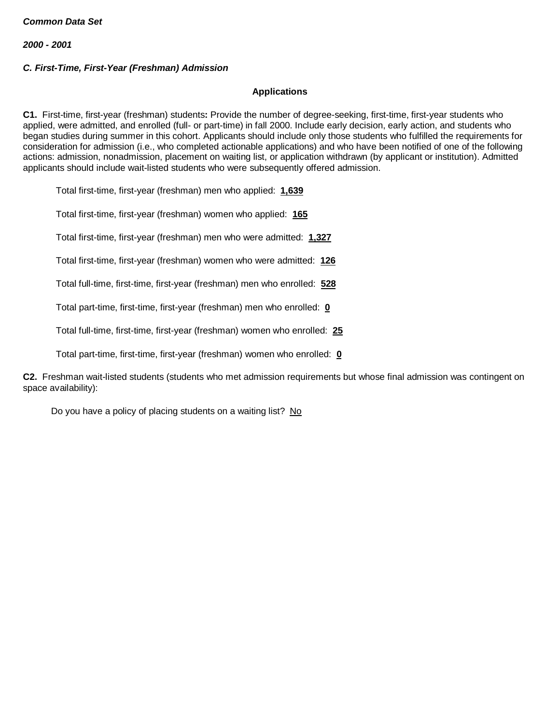# *C. First-Time, First-Year (Freshman) Admission*

# **Applications**

**C1.** First-time, first-year (freshman) students**:** Provide the number of degree-seeking, first-time, first-year students who applied, were admitted, and enrolled (full- or part-time) in fall 2000. Include early decision, early action, and students who began studies during summer in this cohort. Applicants should include only those students who fulfilled the requirements for consideration for admission (i.e., who completed actionable applications) and who have been notified of one of the following actions: admission, nonadmission, placement on waiting list, or application withdrawn (by applicant or institution). Admitted applicants should include wait-listed students who were subsequently offered admission.

Total first-time, first-year (freshman) men who applied: **1,639**

Total first-time, first-year (freshman) women who applied: **165**

Total first-time, first-year (freshman) men who were admitted: **1,327**

Total first-time, first-year (freshman) women who were admitted: **126**

Total full-time, first-time, first-year (freshman) men who enrolled: **528**

Total part-time, first-time, first-year (freshman) men who enrolled: **0**

Total full-time, first-time, first-year (freshman) women who enrolled: **25**

Total part-time, first-time, first-year (freshman) women who enrolled: **0**

**C2.** Freshman wait-listed students (students who met admission requirements but whose final admission was contingent on space availability):

Do you have a policy of placing students on a waiting list? No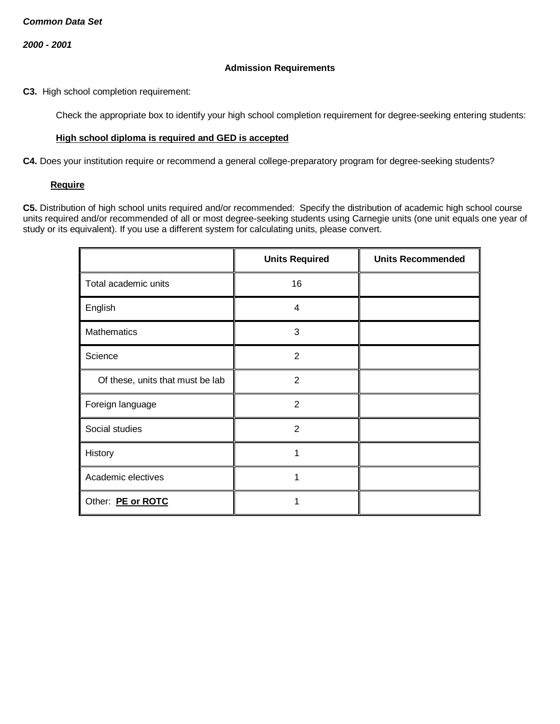#### **Admission Requirements**

**C3.** High school completion requirement:

Check the appropriate box to identify your high school completion requirement for degree-seeking entering students:

#### **High school diploma is required and GED is accepted**

**C4.** Does your institution require or recommend a general college-preparatory program for degree-seeking students?

#### **Require**

**C5.** Distribution of high school units required and/or recommended: Specify the distribution of academic high school course units required and/or recommended of all or most degree-seeking students using Carnegie units (one unit equals one year of study or its equivalent). If you use a different system for calculating units, please convert.

|                                  | <b>Units Required</b> | <b>Units Recommended</b> |
|----------------------------------|-----------------------|--------------------------|
| Total academic units             | 16                    |                          |
| English                          | $\overline{4}$        |                          |
| Mathematics                      | 3                     |                          |
| Science                          | $\overline{2}$        |                          |
| Of these, units that must be lab | 2                     |                          |
| Foreign language                 | $\overline{2}$        |                          |
| Social studies                   | $\overline{2}$        |                          |
| History                          | 1                     |                          |
| Academic electives               | 1                     |                          |
| Other: PE or ROTC                |                       |                          |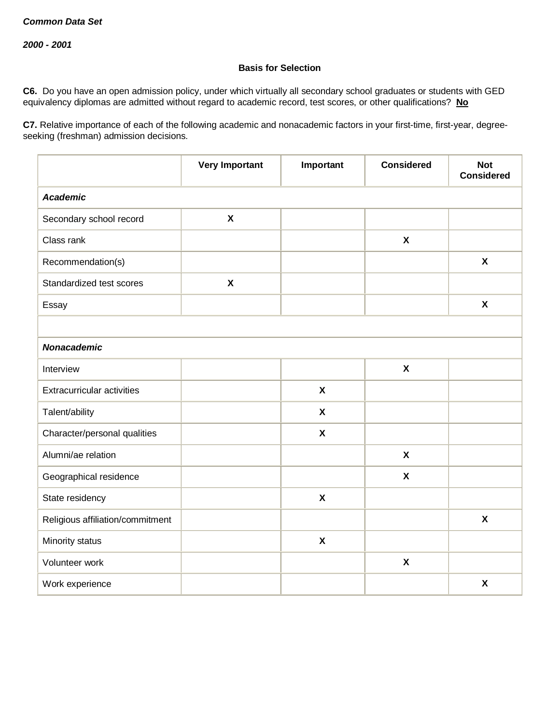## **Basis for Selection**

**C6.** Do you have an open admission policy, under which virtually all secondary school graduates or students with GED equivalency diplomas are admitted without regard to academic record, test scores, or other qualifications? **No**

**C7.** Relative importance of each of the following academic and nonacademic factors in your first-time, first-year, degreeseeking (freshman) admission decisions.

|                                  | <b>Very Important</b>     | Important                 | <b>Considered</b>         | <b>Not</b><br><b>Considered</b> |  |  |
|----------------------------------|---------------------------|---------------------------|---------------------------|---------------------------------|--|--|
| <b>Academic</b>                  |                           |                           |                           |                                 |  |  |
| Secondary school record          | $\boldsymbol{\mathsf{x}}$ |                           |                           |                                 |  |  |
| Class rank                       |                           |                           | $\boldsymbol{\mathsf{X}}$ |                                 |  |  |
| Recommendation(s)                |                           |                           |                           | $\boldsymbol{\mathsf{X}}$       |  |  |
| Standardized test scores         | $\boldsymbol{\mathsf{X}}$ |                           |                           |                                 |  |  |
| Essay                            |                           |                           |                           | $\boldsymbol{\mathsf{X}}$       |  |  |
|                                  |                           |                           |                           |                                 |  |  |
| <b>Nonacademic</b>               |                           |                           |                           |                                 |  |  |
| Interview                        |                           |                           | $\pmb{\chi}$              |                                 |  |  |
| Extracurricular activities       |                           | $\boldsymbol{\mathsf{X}}$ |                           |                                 |  |  |
| Talent/ability                   |                           | $\boldsymbol{\mathsf{x}}$ |                           |                                 |  |  |
| Character/personal qualities     |                           | $\boldsymbol{\mathsf{X}}$ |                           |                                 |  |  |
| Alumni/ae relation               |                           |                           | $\boldsymbol{\mathsf{x}}$ |                                 |  |  |
| Geographical residence           |                           |                           | $\pmb{\mathsf{X}}$        |                                 |  |  |
| State residency                  |                           | $\pmb{\mathsf{X}}$        |                           |                                 |  |  |
| Religious affiliation/commitment |                           |                           |                           | $\boldsymbol{\mathsf{x}}$       |  |  |
| Minority status                  |                           | $\boldsymbol{\mathsf{X}}$ |                           |                                 |  |  |
| Volunteer work                   |                           |                           | $\pmb{\mathsf{X}}$        |                                 |  |  |
| Work experience                  |                           |                           |                           | $\boldsymbol{\mathsf{X}}$       |  |  |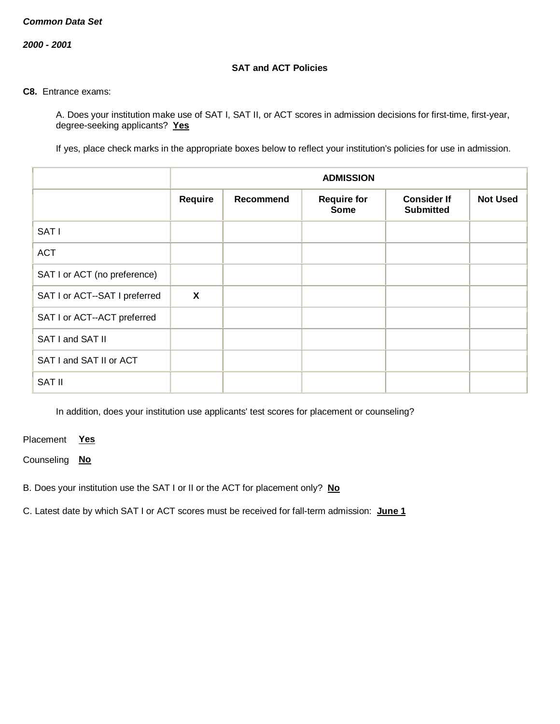*2000 - 2001*

## **SAT and ACT Policies**

#### **C8.** Entrance exams:

A. Does your institution make use of SAT I, SAT II, or ACT scores in admission decisions for first-time, first-year, degree-seeking applicants? **Yes**

If yes, place check marks in the appropriate boxes below to reflect your institution's policies for use in admission.

|                               | <b>ADMISSION</b>          |                  |                                   |                                        |                 |
|-------------------------------|---------------------------|------------------|-----------------------------------|----------------------------------------|-----------------|
|                               | Require                   | <b>Recommend</b> | <b>Require for</b><br><b>Some</b> | <b>Consider If</b><br><b>Submitted</b> | <b>Not Used</b> |
| SAT I                         |                           |                  |                                   |                                        |                 |
| <b>ACT</b>                    |                           |                  |                                   |                                        |                 |
| SAT I or ACT (no preference)  |                           |                  |                                   |                                        |                 |
| SAT I or ACT--SAT I preferred | $\boldsymbol{\mathsf{X}}$ |                  |                                   |                                        |                 |
| SAT I or ACT--ACT preferred   |                           |                  |                                   |                                        |                 |
| SAT I and SAT II              |                           |                  |                                   |                                        |                 |
| SAT I and SAT II or ACT       |                           |                  |                                   |                                        |                 |
| <b>SAT II</b>                 |                           |                  |                                   |                                        |                 |

In addition, does your institution use applicants' test scores for placement or counseling?

Placement **Yes**

Counseling **No**

B. Does your institution use the SAT I or II or the ACT for placement only? **No**

C. Latest date by which SAT I or ACT scores must be received for fall-term admission: **June 1**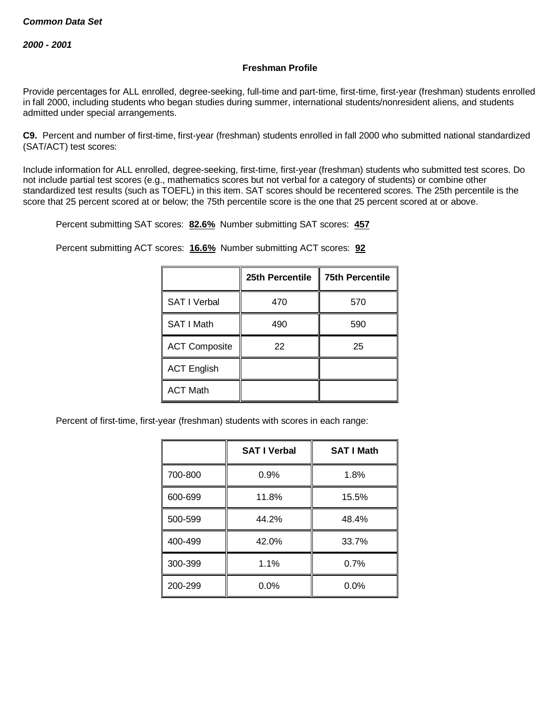### **Freshman Profile**

Provide percentages for ALL enrolled, degree-seeking, full-time and part-time, first-time, first-year (freshman) students enrolled in fall 2000, including students who began studies during summer, international students/nonresident aliens, and students admitted under special arrangements.

**C9.** Percent and number of first-time, first-year (freshman) students enrolled in fall 2000 who submitted national standardized (SAT/ACT) test scores:

Include information for ALL enrolled, degree-seeking, first-time, first-year (freshman) students who submitted test scores. Do not include partial test scores (e.g., mathematics scores but not verbal for a category of students) or combine other standardized test results (such as TOEFL) in this item. SAT scores should be recentered scores. The 25th percentile is the score that 25 percent scored at or below; the 75th percentile score is the one that 25 percent scored at or above.

Percent submitting SAT scores: **82.6%** Number submitting SAT scores: **457**

Percent submitting ACT scores: **16.6%** Number submitting ACT scores: **92**

|                      | 25th Percentile | <b>75th Percentile</b> |
|----------------------|-----------------|------------------------|
| <b>SAT I Verbal</b>  | 470             | 570                    |
| SAT I Math           | 490             | 590                    |
| <b>ACT Composite</b> | 22              | 25                     |
| <b>ACT English</b>   |                 |                        |
| <b>ACT Math</b>      |                 |                        |

Percent of first-time, first-year (freshman) students with scores in each range:

|         | <b>SAT I Verbal</b> | <b>SAT I Math</b> |
|---------|---------------------|-------------------|
| 700-800 | 0.9%                | 1.8%              |
| 600-699 | 11.8%               | 15.5%             |
| 500-599 | 44.2%               | 48.4%             |
| 400-499 | 42.0%               | 33.7%             |
| 300-399 | 1.1%                | 0.7%              |
| 200-299 | $0.0\%$             | 0.0%              |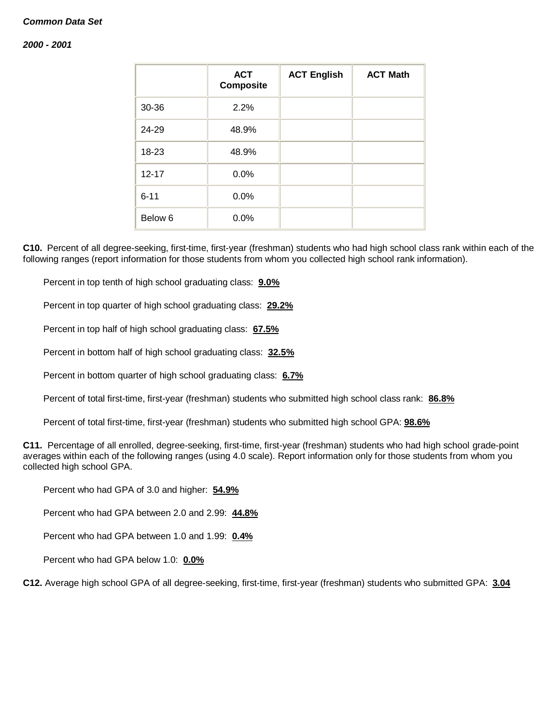#### *2000 - 2001*

|           | <b>ACT</b><br><b>Composite</b> | <b>ACT English</b> | <b>ACT Math</b> |
|-----------|--------------------------------|--------------------|-----------------|
| 30-36     | 2.2%                           |                    |                 |
| 24-29     | 48.9%                          |                    |                 |
| 18-23     | 48.9%                          |                    |                 |
| $12 - 17$ | 0.0%                           |                    |                 |
| $6 - 11$  | 0.0%                           |                    |                 |
| Below 6   | 0.0%                           |                    |                 |

**C10.** Percent of all degree-seeking, first-time, first-year (freshman) students who had high school class rank within each of the following ranges (report information for those students from whom you collected high school rank information).

Percent in top tenth of high school graduating class: **9.0%**

Percent in top quarter of high school graduating class: **29.2%**

Percent in top half of high school graduating class: **67.5%**

Percent in bottom half of high school graduating class: **32.5%**

Percent in bottom quarter of high school graduating class: **6.7%**

Percent of total first-time, first-year (freshman) students who submitted high school class rank: **86.8%**

Percent of total first-time, first-year (freshman) students who submitted high school GPA: **98.6%**

**C11.** Percentage of all enrolled, degree-seeking, first-time, first-year (freshman) students who had high school grade-point averages within each of the following ranges (using 4.0 scale). Report information only for those students from whom you collected high school GPA.

Percent who had GPA of 3.0 and higher: **54.9%**

Percent who had GPA between 2.0 and 2.99: **44.8%**

Percent who had GPA between 1.0 and 1.99: **0.4%**

Percent who had GPA below 1.0: **0.0%**

**C12.** Average high school GPA of all degree-seeking, first-time, first-year (freshman) students who submitted GPA: **3.04**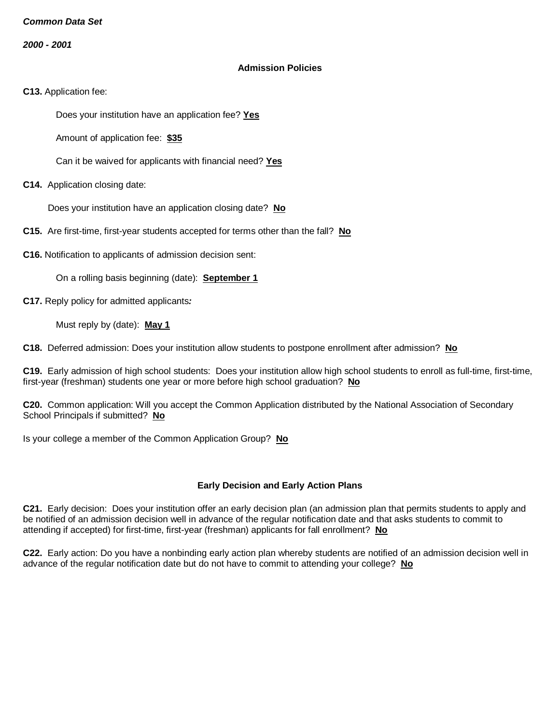*2000 - 2001*

#### **Admission Policies**

**C13.** Application fee:

Does your institution have an application fee? **Yes**

Amount of application fee: **\$35**

Can it be waived for applicants with financial need? **Yes**

**C14.** Application closing date:

Does your institution have an application closing date? **No**

**C15.** Are first-time, first-year students accepted for terms other than the fall? **No**

**C16.** Notification to applicants of admission decision sent:

On a rolling basis beginning (date): **September 1**

**C17.** Reply policy for admitted applicants*:*

Must reply by (date): **May 1**

**C18.** Deferred admission: Does your institution allow students to postpone enrollment after admission? **No**

**C19.** Early admission of high school students: Does your institution allow high school students to enroll as full-time, first-time, first-year (freshman) students one year or more before high school graduation? **No**

**C20.** Common application: Will you accept the Common Application distributed by the National Association of Secondary School Principals if submitted? **No**

Is your college a member of the Common Application Group? **No**

## **Early Decision and Early Action Plans**

**C21.** Early decision: Does your institution offer an early decision plan (an admission plan that permits students to apply and be notified of an admission decision well in advance of the regular notification date and that asks students to commit to attending if accepted) for first-time, first-year (freshman) applicants for fall enrollment? **No**

**C22.** Early action: Do you have a nonbinding early action plan whereby students are notified of an admission decision well in advance of the regular notification date but do not have to commit to attending your college? **No**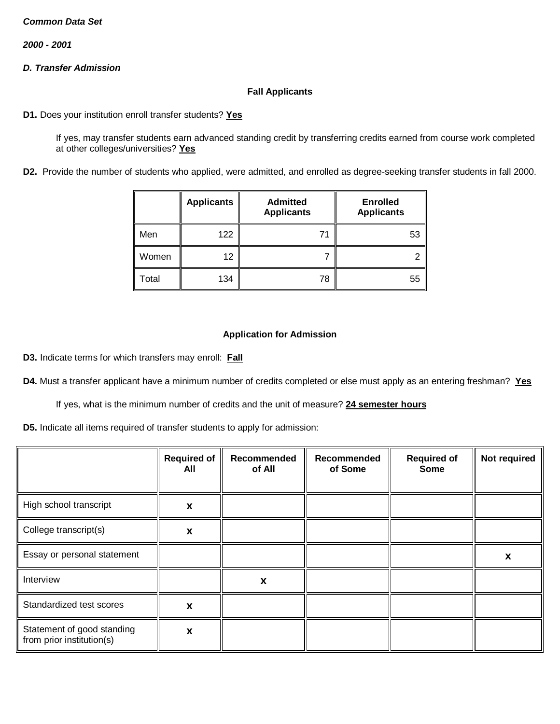*2000 - 2001*

# *D. Transfer Admission*

## **Fall Applicants**

**D1.** Does your institution enroll transfer students? **Yes**

If yes, may transfer students earn advanced standing credit by transferring credits earned from course work completed at other colleges/universities? **Yes**

**D2.** Provide the number of students who applied, were admitted, and enrolled as degree-seeking transfer students in fall 2000.

|       | <b>Applicants</b> | <b>Admitted</b><br><b>Applicants</b> | <b>Enrolled</b><br><b>Applicants</b> |
|-------|-------------------|--------------------------------------|--------------------------------------|
| Men   | 122               | 71                                   | 53                                   |
| Women | 12                |                                      | ኅ                                    |
| Total | 134               | 78                                   | 55                                   |

## **Application for Admission**

**D3.** Indicate terms for which transfers may enroll: **Fall**

**D4.** Must a transfer applicant have a minimum number of credits completed or else must apply as an entering freshman? **Yes**

If yes, what is the minimum number of credits and the unit of measure? **24 semester hours**

**D5.** Indicate all items required of transfer students to apply for admission:

|                                                         | <b>Required of</b><br>All | Recommended<br>of All | Recommended<br>of Some | <b>Required of</b><br><b>Some</b> | Not required |
|---------------------------------------------------------|---------------------------|-----------------------|------------------------|-----------------------------------|--------------|
| High school transcript                                  | X                         |                       |                        |                                   |              |
| College transcript(s)                                   | X                         |                       |                        |                                   |              |
| Essay or personal statement                             |                           |                       |                        |                                   | X            |
| Interview                                               |                           | X                     |                        |                                   |              |
| Standardized test scores                                | X                         |                       |                        |                                   |              |
| Statement of good standing<br>from prior institution(s) | X                         |                       |                        |                                   |              |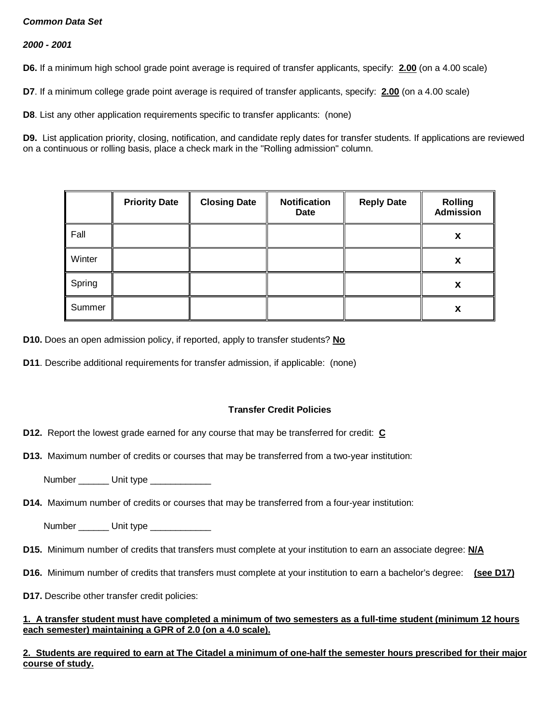### *2000 - 2001*

**D6.** If a minimum high school grade point average is required of transfer applicants, specify: **2.00** (on a 4.00 scale)

**D7**. If a minimum college grade point average is required of transfer applicants, specify: **2.00** (on a 4.00 scale)

**D8**. List any other application requirements specific to transfer applicants: (none)

**D9.** List application priority, closing, notification, and candidate reply dates for transfer students. If applications are reviewed on a continuous or rolling basis, place a check mark in the "Rolling admission" column.

|        | <b>Priority Date</b> | <b>Closing Date</b> | <b>Notification</b><br><b>Date</b> | <b>Reply Date</b> | <b>Rolling</b><br><b>Admission</b> |
|--------|----------------------|---------------------|------------------------------------|-------------------|------------------------------------|
| Fall   |                      |                     |                                    |                   | X                                  |
| Winter |                      |                     |                                    |                   | X                                  |
| Spring |                      |                     |                                    |                   | x                                  |
| Summer |                      |                     |                                    |                   | X                                  |

**D10.** Does an open admission policy, if reported, apply to transfer students? **No**

**D11**. Describe additional requirements for transfer admission, if applicable: (none)

## **Transfer Credit Policies**

**D12.** Report the lowest grade earned for any course that may be transferred for credit: **C**

**D13.** Maximum number of credits or courses that may be transferred from a two-year institution:

Number \_\_\_\_\_\_ Unit type \_\_\_\_\_\_\_\_\_\_

**D14.** Maximum number of credits or courses that may be transferred from a four-year institution:

Number \_\_\_\_\_\_\_\_ Unit type \_\_\_\_\_\_\_\_\_\_\_\_\_\_

- **D15.** Minimum number of credits that transfers must complete at your institution to earn an associate degree: **N/A**
- **D16.** Minimum number of credits that transfers must complete at your institution to earn a bachelor's degree: **(see D17)**
- **D17.** Describe other transfer credit policies:

#### **1. A transfer student must have completed a minimum of two semesters as a full-time student (minimum 12 hours each semester) maintaining a GPR of 2.0 (on a 4.0 scale).**

**2. Students are required to earn at The Citadel a minimum of one-half the semester hours prescribed for their major course of study.**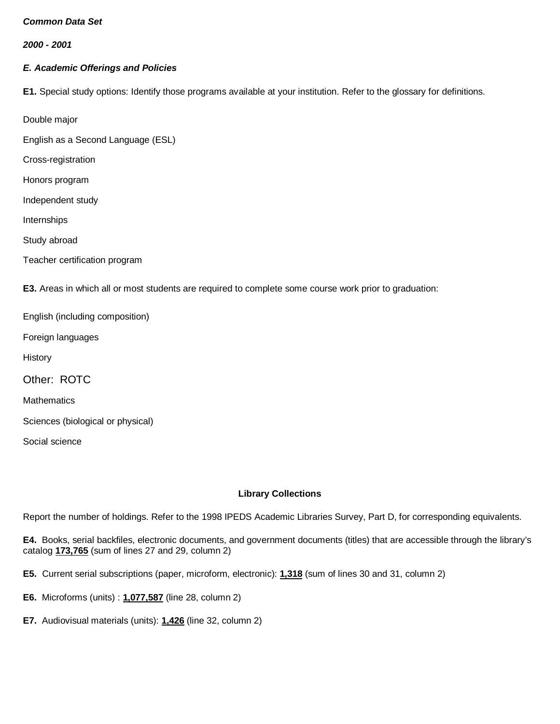*2000 - 2001*

# *E. Academic Offerings and Policies*

**E1.** Special study options: Identify those programs available at your institution. Refer to the glossary for definitions.

Double major

English as a Second Language (ESL)

Cross-registration

Honors program

Independent study

Internships

Study abroad

Teacher certification program

**E3.** Areas in which all or most students are required to complete some course work prior to graduation:

English (including composition)

Foreign languages

**History** 

Other: ROTC

**Mathematics** 

Sciences (biological or physical)

Social science

## **Library Collections**

Report the number of holdings. Refer to the 1998 IPEDS Academic Libraries Survey, Part D, for corresponding equivalents.

**E4.** Books, serial backfiles, electronic documents, and government documents (titles) that are accessible through the library's catalog **173,765** (sum of lines 27 and 29, column 2)

**E5.** Current serial subscriptions (paper, microform, electronic): **1,318** (sum of lines 30 and 31, column 2)

- **E6.** Microforms (units) : **1,077,587** (line 28, column 2)
- **E7.** Audiovisual materials (units): **1,426** (line 32, column 2)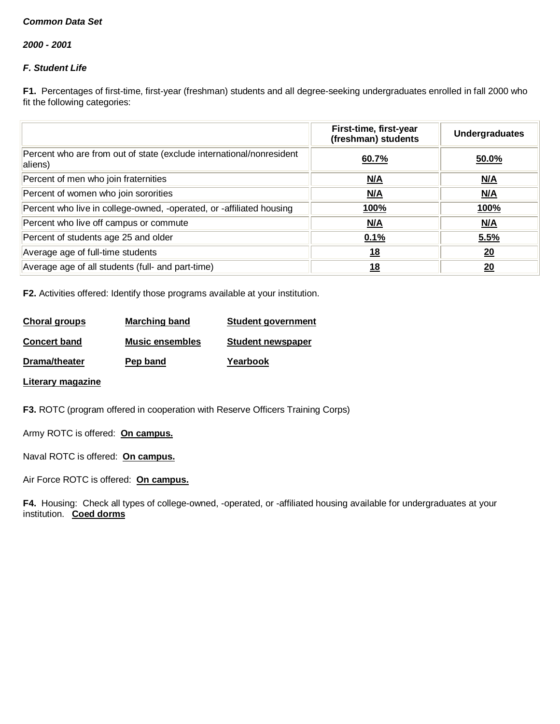*2000 - 2001*

# *F. Student Life*

**F1.** Percentages of first-time, first-year (freshman) students and all degree-seeking undergraduates enrolled in fall 2000 who fit the following categories:

|                                                                                 | First-time, first-year<br>(freshman) students | <b>Undergraduates</b> |
|---------------------------------------------------------------------------------|-----------------------------------------------|-----------------------|
| Percent who are from out of state (exclude international/nonresident<br>aliens) | 60.7%                                         | 50.0%                 |
| Percent of men who join fraternities                                            | N/A                                           | M/A                   |
| Percent of women who join sororities                                            | N/A                                           | N/A                   |
| Percent who live in college-owned, -operated, or -affiliated housing            | <u>100%</u>                                   | <u>100%</u>           |
| Percent who live off campus or commute                                          | N/A                                           | N/A                   |
| Percent of students age 25 and older                                            | 0.1%                                          | 5.5%                  |
| Average age of full-time students                                               | 18                                            | 20                    |
| Average age of all students (full- and part-time)                               | 18                                            | 20                    |

**F2.** Activities offered: Identify those programs available at your institution.

| Choral groups       | <b>Marching band</b>   | <b>Student government</b> |
|---------------------|------------------------|---------------------------|
| <b>Concert band</b> | <b>Music ensembles</b> | <b>Student newspaper</b>  |
| Drama/theater       | Pep band               | Yearbook                  |

**Literary magazine**

**F3.** ROTC (program offered in cooperation with Reserve Officers Training Corps)

Army ROTC is offered: **On campus.**

Naval ROTC is offered: **On campus.**

Air Force ROTC is offered: **On campus.**

**F4.** Housing: Check all types of college-owned, -operated, or -affiliated housing available for undergraduates at your institution. **Coed dorms**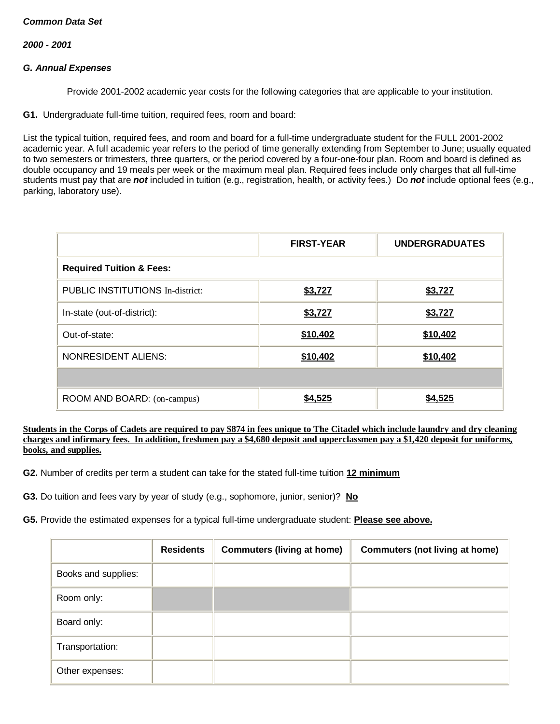*2000 - 2001*

#### *G. Annual Expenses*

Provide 2001-2002 academic year costs for the following categories that are applicable to your institution.

**G1.** Undergraduate full-time tuition, required fees, room and board:

List the typical tuition, required fees, and room and board for a full-time undergraduate student for the FULL 2001-2002 academic year. A full academic year refers to the period of time generally extending from September to June; usually equated to two semesters or trimesters, three quarters, or the period covered by a four-one-four plan. Room and board is defined as double occupancy and 19 meals per week or the maximum meal plan. Required fees include only charges that all full-time students must pay that are *not* included in tuition (e.g., registration, health, or activity fees.) Do *not* include optional fees (e.g., parking, laboratory use).

|                                         | <b>FIRST-YEAR</b> | <b>UNDERGRADUATES</b> |
|-----------------------------------------|-------------------|-----------------------|
| <b>Required Tuition &amp; Fees:</b>     |                   |                       |
| <b>PUBLIC INSTITUTIONS In-district:</b> | \$3,727           | \$3,727               |
| In-state (out-of-district):             | \$3,727           | \$3,727               |
| Out-of-state:                           | \$10,402          | \$10,402              |
| <b>NONRESIDENT ALIENS:</b>              | \$10,402          | \$10,402              |
|                                         |                   |                       |
| ROOM AND BOARD: (on-campus)             | \$4,525           | \$4,525               |

**Students in the Corps of Cadets are required to pay \$874 in fees unique to The Citadel which include laundry and dry cleaning charges and infirmary fees. In addition, freshmen pay a \$4,680 deposit and upperclassmen pay a \$1,420 deposit for uniforms, books, and supplies.**

**G2.** Number of credits per term a student can take for the stated full-time tuition **12 minimum**

**G3.** Do tuition and fees vary by year of study (e.g., sophomore, junior, senior)? **No**

**G5.** Provide the estimated expenses for a typical full-time undergraduate student: **Please see above.**

|                     | <b>Residents</b> | <b>Commuters (living at home)</b> | <b>Commuters (not living at home)</b> |
|---------------------|------------------|-----------------------------------|---------------------------------------|
| Books and supplies: |                  |                                   |                                       |
| Room only:          |                  |                                   |                                       |
| Board only:         |                  |                                   |                                       |
| Transportation:     |                  |                                   |                                       |
| Other expenses:     |                  |                                   |                                       |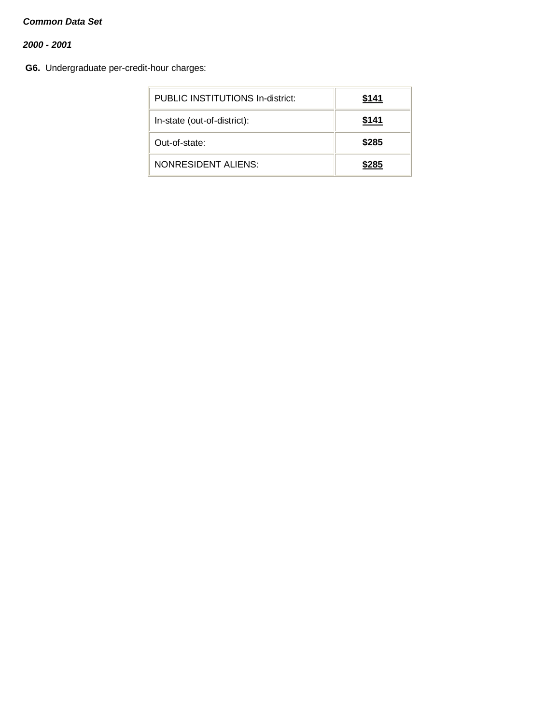# *2000 - 2001*

**G6.** Undergraduate per-credit-hour charges:

| PUBLIC INSTITUTIONS In-district: | \$141 |
|----------------------------------|-------|
| In-state (out-of-district):      | \$141 |
| Out-of-state:                    | \$285 |
| NONRESIDENT ALIENS:              | \$285 |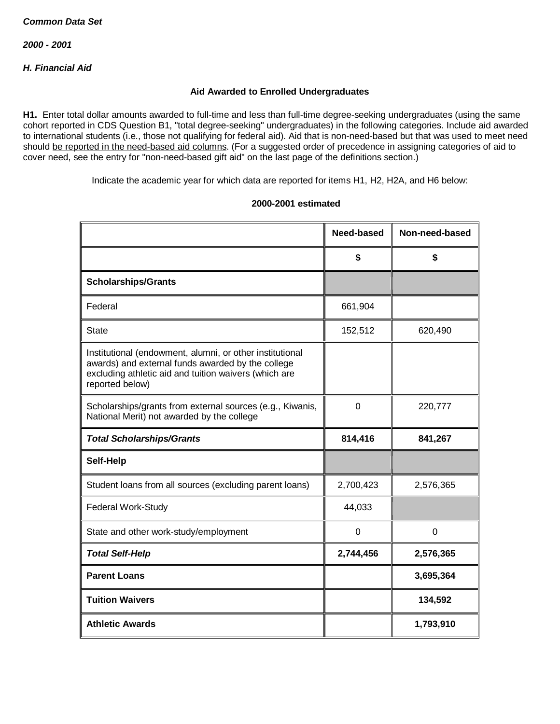# *H. Financial Aid*

#### **Aid Awarded to Enrolled Undergraduates**

**H1.** Enter total dollar amounts awarded to full-time and less than full-time degree-seeking undergraduates (using the same cohort reported in CDS Question B1, "total degree-seeking" undergraduates) in the following categories. Include aid awarded to international students (i.e., those not qualifying for federal aid). Aid that is non-need-based but that was used to meet need should be reported in the need-based aid columns. (For a suggested order of precedence in assigning categories of aid to cover need, see the entry for "non-need-based gift aid" on the last page of the definitions section.)

Indicate the academic year for which data are reported for items H1, H2, H2A, and H6 below:

|                                                                                                                                                                                           | Need-based | Non-need-based |
|-------------------------------------------------------------------------------------------------------------------------------------------------------------------------------------------|------------|----------------|
|                                                                                                                                                                                           | \$         | \$             |
| <b>Scholarships/Grants</b>                                                                                                                                                                |            |                |
| Federal                                                                                                                                                                                   | 661,904    |                |
| <b>State</b>                                                                                                                                                                              | 152,512    | 620,490        |
| Institutional (endowment, alumni, or other institutional<br>awards) and external funds awarded by the college<br>excluding athletic aid and tuition waivers (which are<br>reported below) |            |                |
| Scholarships/grants from external sources (e.g., Kiwanis,<br>National Merit) not awarded by the college                                                                                   | 0          | 220,777        |
| <b>Total Scholarships/Grants</b>                                                                                                                                                          | 814,416    | 841,267        |
| Self-Help                                                                                                                                                                                 |            |                |
| Student loans from all sources (excluding parent loans)                                                                                                                                   | 2,700,423  | 2,576,365      |
| Federal Work-Study                                                                                                                                                                        | 44,033     |                |
| State and other work-study/employment                                                                                                                                                     | 0          | $\overline{0}$ |
| <b>Total Self-Help</b>                                                                                                                                                                    | 2,744,456  | 2,576,365      |
| <b>Parent Loans</b>                                                                                                                                                                       |            | 3,695,364      |
| <b>Tuition Waivers</b>                                                                                                                                                                    |            | 134,592        |
| <b>Athletic Awards</b>                                                                                                                                                                    |            | 1,793,910      |

#### **2000-2001 estimated**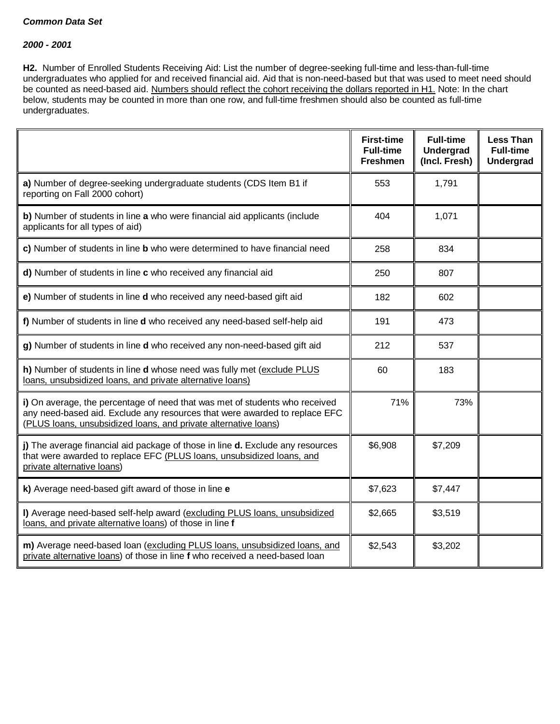#### *2000 - 2001*

**H2.** Number of Enrolled Students Receiving Aid: List the number of degree-seeking full-time and less-than-full-time undergraduates who applied for and received financial aid. Aid that is non-need-based but that was used to meet need should be counted as need-based aid. Numbers should reflect the cohort receiving the dollars reported in H1. Note: In the chart below, students may be counted in more than one row, and full-time freshmen should also be counted as full-time undergraduates.

|                                                                                                                                                                                                                              | <b>First-time</b><br><b>Full-time</b><br><b>Freshmen</b> | <b>Full-time</b><br>Undergrad<br>(Incl. Fresh) | <b>Less Than</b><br><b>Full-time</b><br><b>Undergrad</b> |
|------------------------------------------------------------------------------------------------------------------------------------------------------------------------------------------------------------------------------|----------------------------------------------------------|------------------------------------------------|----------------------------------------------------------|
| a) Number of degree-seeking undergraduate students (CDS Item B1 if<br>reporting on Fall 2000 cohort)                                                                                                                         | 553                                                      | 1,791                                          |                                                          |
| b) Number of students in line a who were financial aid applicants (include<br>applicants for all types of aid)                                                                                                               | 404                                                      | 1,071                                          |                                                          |
| c) Number of students in line b who were determined to have financial need                                                                                                                                                   | 258                                                      | 834                                            |                                                          |
| d) Number of students in line c who received any financial aid                                                                                                                                                               | 250                                                      | 807                                            |                                                          |
| e) Number of students in line d who received any need-based gift aid                                                                                                                                                         | 182                                                      | 602                                            |                                                          |
| f) Number of students in line d who received any need-based self-help aid                                                                                                                                                    | 191                                                      | 473                                            |                                                          |
| g) Number of students in line d who received any non-need-based gift aid                                                                                                                                                     | 212                                                      | 537                                            |                                                          |
| h) Number of students in line d whose need was fully met (exclude PLUS<br>loans, unsubsidized loans, and private alternative loans)                                                                                          | 60                                                       | 183                                            |                                                          |
| i) On average, the percentage of need that was met of students who received<br>any need-based aid. Exclude any resources that were awarded to replace EFC<br>(PLUS loans, unsubsidized loans, and private alternative loans) | 71%                                                      | 73%                                            |                                                          |
| j) The average financial aid package of those in line d. Exclude any resources<br>that were awarded to replace EFC (PLUS loans, unsubsidized loans, and<br>private alternative loans)                                        | \$6,908                                                  | \$7,209                                        |                                                          |
| k) Average need-based gift award of those in line e                                                                                                                                                                          | \$7,623                                                  | \$7,447                                        |                                                          |
| I) Average need-based self-help award (excluding PLUS loans, unsubsidized<br>loans, and private alternative loans) of those in line f                                                                                        | \$2,665                                                  | \$3,519                                        |                                                          |
| m) Average need-based loan (excluding PLUS loans, unsubsidized loans, and<br>private alternative loans) of those in line f who received a need-based loan                                                                    | \$2,543                                                  | \$3,202                                        |                                                          |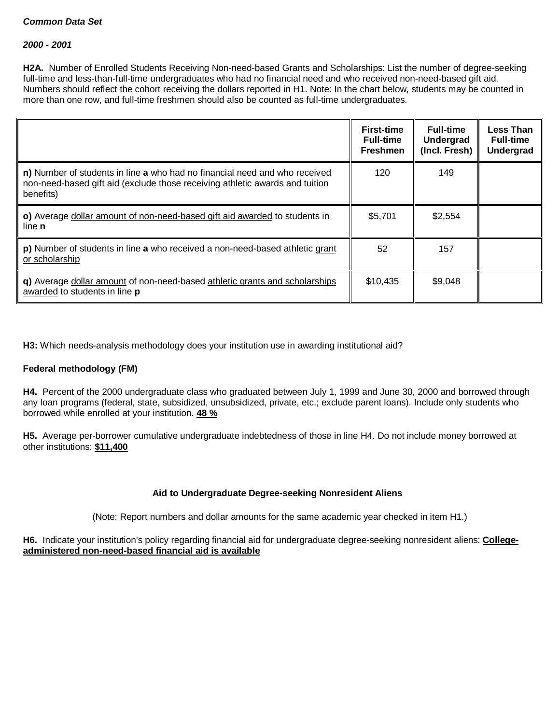#### *2000 - 2001*

**H2A.** Number of Enrolled Students Receiving Non-need-based Grants and Scholarships: List the number of degree-seeking full-time and less-than-full-time undergraduates who had no financial need and who received non-need-based gift aid. Numbers should reflect the cohort receiving the dollars reported in H1. Note: In the chart below, students may be counted in more than one row, and full-time freshmen should also be counted as full-time undergraduates.

|                                                                                                                                                                         | <b>First-time</b><br><b>Full-time</b><br><b>Freshmen</b> | <b>Full-time</b><br>Undergrad<br>(Incl. Fresh) | <b>Less Than</b><br><b>Full-time</b><br><b>Undergrad</b> |
|-------------------------------------------------------------------------------------------------------------------------------------------------------------------------|----------------------------------------------------------|------------------------------------------------|----------------------------------------------------------|
| n) Number of students in line a who had no financial need and who received<br>non-need-based gift aid (exclude those receiving athletic awards and tuition<br>benefits) | 120                                                      | 149                                            |                                                          |
| o) Average dollar amount of non-need-based gift aid awarded to students in<br>line <b>n</b>                                                                             | \$5,701                                                  | \$2.554                                        |                                                          |
| p) Number of students in line a who received a non-need-based athletic grant<br>or scholarship                                                                          | 52                                                       | 157                                            |                                                          |
| q) Average dollar amount of non-need-based athletic grants and scholarships<br>awarded to students in line p                                                            | \$10,435                                                 | \$9,048                                        |                                                          |

**H3:** Which needs-analysis methodology does your institution use in awarding institutional aid?

## **Federal methodology (FM)**

**H4.** Percent of the 2000 undergraduate class who graduated between July 1, 1999 and June 30, 2000 and borrowed through any loan programs (federal, state, subsidized, unsubsidized, private, etc.; exclude parent loans). Include only students who borrowed while enrolled at your institution. **48 %**

**H5.** Average per-borrower cumulative undergraduate indebtedness of those in line H4. Do not include money borrowed at other institutions: **\$11,400**

## **Aid to Undergraduate Degree-seeking Nonresident Aliens**

(Note: Report numbers and dollar amounts for the same academic year checked in item H1.)

**H6.** Indicate your institution's policy regarding financial aid for undergraduate degree-seeking nonresident aliens: **Collegeadministered non-need-based financial aid is available**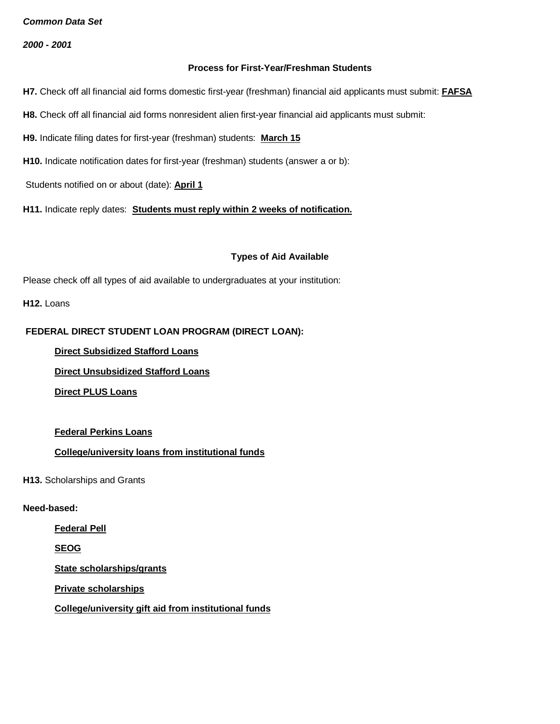*2000 - 2001*

#### **Process for First-Year/Freshman Students**

- **H7.** Check off all financial aid forms domestic first-year (freshman) financial aid applicants must submit: **FAFSA**
- **H8.** Check off all financial aid forms nonresident alien first-year financial aid applicants must submit:
- **H9.** Indicate filing dates for first-year (freshman) students: **March 15**
- **H10.** Indicate notification dates for first-year (freshman) students (answer a or b):
- Students notified on or about (date): **April 1**

**H11.** Indicate reply dates: **Students must reply within 2 weeks of notification.**

## **Types of Aid Available**

Please check off all types of aid available to undergraduates at your institution:

**H12.** Loans

# **FEDERAL DIRECT STUDENT LOAN PROGRAM (DIRECT LOAN):**

**Direct Subsidized Stafford Loans**

**Direct Unsubsidized Stafford Loans**

**Direct PLUS Loans**

## **Federal Perkins Loans**

# **College/university loans from institutional funds**

**H13.** Scholarships and Grants

## **Need-based:**

**Federal Pell**

**SEOG**

**State scholarships/grants**

**Private scholarships**

**College/university gift aid from institutional funds**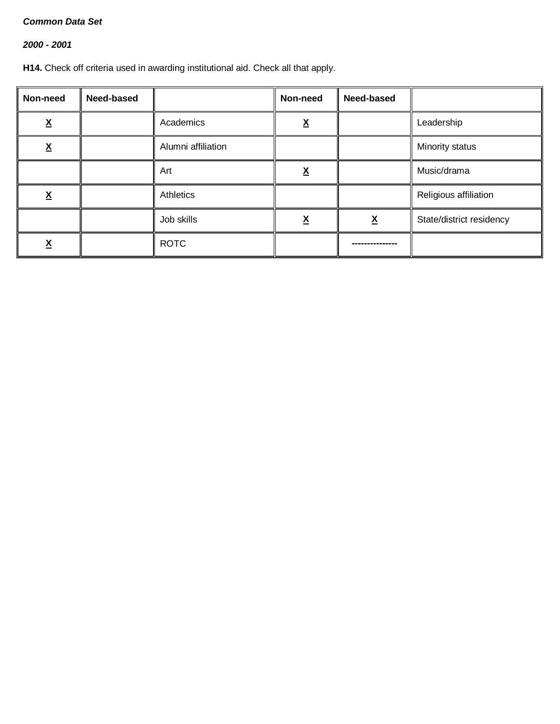# *2000 - 2001*

**H14.** Check off criteria used in awarding institutional aid. Check all that apply.

| Non-need      | Need-based |                    | Non-need | Need-based |                          |
|---------------|------------|--------------------|----------|------------|--------------------------|
| v<br><u>Δ</u> |            | Academics          | v<br>Λ   |            | Leadership               |
| v<br><u>Δ</u> |            | Alumni affiliation |          |            | Minority status          |
|               |            | Art                | χ        |            | Music/drama              |
| v<br><u>л</u> |            | Athletics          |          |            | Religious affiliation    |
|               |            | Job skills         | Λ        | <u>x</u>   | State/district residency |
| <u>^</u>      |            | <b>ROTC</b>        |          |            |                          |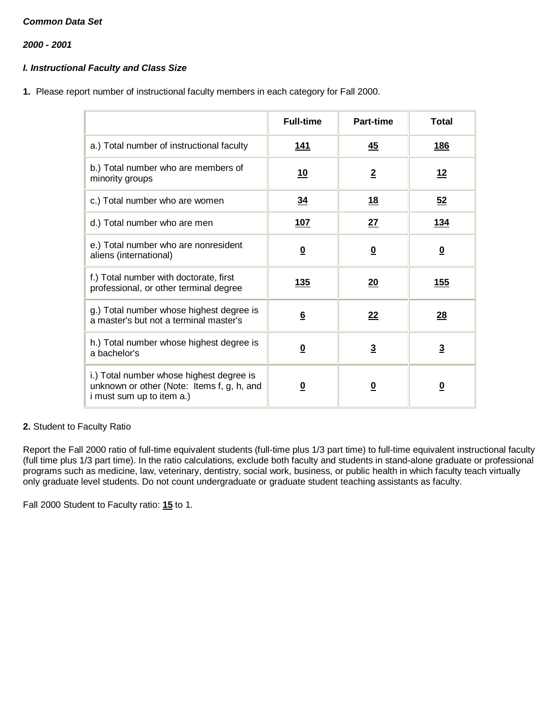*2000 - 2001*

# *I. Instructional Faculty and Class Size*

**1.** Please report number of instructional faculty members in each category for Fall 2000.

|                                                                                                                     | <b>Full-time</b>        | Part-time               | Total                   |
|---------------------------------------------------------------------------------------------------------------------|-------------------------|-------------------------|-------------------------|
| a.) Total number of instructional faculty                                                                           | <u> 141</u>             | 45                      | <u>186</u>              |
| b.) Total number who are members of<br>minority groups                                                              | <u>10</u>               | $\overline{2}$          | <u>12</u>               |
| c.) Total number who are women                                                                                      | 34                      | <u>18</u>               | 52                      |
| d.) Total number who are men                                                                                        | 107                     | 27                      | <u>134</u>              |
| e.) Total number who are nonresident<br>aliens (international)                                                      | $\overline{\mathbf{0}}$ | $\overline{\mathbf{0}}$ | $\overline{\mathbf{0}}$ |
| f.) Total number with doctorate, first<br>professional, or other terminal degree                                    | <u> 135</u>             | 20                      | <u>155</u>              |
| g.) Total number whose highest degree is<br>a master's but not a terminal master's                                  | $6\overline{6}$         | 22                      | 28                      |
| h.) Total number whose highest degree is<br>a bachelor's                                                            | $\overline{\mathbf{0}}$ | $\overline{3}$          | $\overline{3}$          |
| i.) Total number whose highest degree is<br>unknown or other (Note: Items f, g, h, and<br>i must sum up to item a.) | <u>0</u>                | $\overline{\mathbf{0}}$ | <u>0</u>                |

## **2.** Student to Faculty Ratio

Report the Fall 2000 ratio of full-time equivalent students (full-time plus 1/3 part time) to full-time equivalent instructional faculty (full time plus 1/3 part time). In the ratio calculations, exclude both faculty and students in stand-alone graduate or professional programs such as medicine, law, veterinary, dentistry, social work, business, or public health in which faculty teach virtually only graduate level students. Do not count undergraduate or graduate student teaching assistants as faculty.

Fall 2000 Student to Faculty ratio: **15** to 1.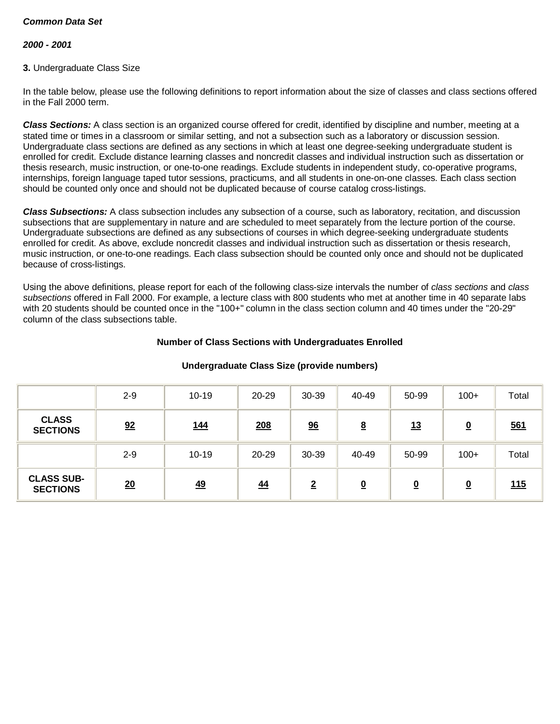#### *2000 - 2001*

#### **3.** Undergraduate Class Size

In the table below, please use the following definitions to report information about the size of classes and class sections offered in the Fall 2000 term.

*Class Sections:* A class section is an organized course offered for credit, identified by discipline and number, meeting at a stated time or times in a classroom or similar setting, and not a subsection such as a laboratory or discussion session. Undergraduate class sections are defined as any sections in which at least one degree-seeking undergraduate student is enrolled for credit. Exclude distance learning classes and noncredit classes and individual instruction such as dissertation or thesis research, music instruction, or one-to-one readings. Exclude students in independent study, co-operative programs, internships, foreign language taped tutor sessions, practicums, and all students in one-on-one classes. Each class section should be counted only once and should not be duplicated because of course catalog cross-listings.

*Class Subsections:* A class subsection includes any subsection of a course, such as laboratory, recitation, and discussion subsections that are supplementary in nature and are scheduled to meet separately from the lecture portion of the course. Undergraduate subsections are defined as any subsections of courses in which degree-seeking undergraduate students enrolled for credit. As above, exclude noncredit classes and individual instruction such as dissertation or thesis research, music instruction, or one-to-one readings. Each class subsection should be counted only once and should not be duplicated because of cross-listings.

Using the above definitions, please report for each of the following class-size intervals the number of *class sections* and *class subsections* offered in Fall 2000. For example, a lecture class with 800 students who met at another time in 40 separate labs with 20 students should be counted once in the "100+" column in the class section column and 40 times under the "20-29" column of the class subsections table.

#### **Number of Class Sections with Undergraduates Enrolled**

|                                      | $2 - 9$ | $10 - 19$  | 20-29 | 30-39            | 40-49                    | 50-99                   | $100+$   | Total |
|--------------------------------------|---------|------------|-------|------------------|--------------------------|-------------------------|----------|-------|
| <b>CLASS</b><br><b>SECTIONS</b>      | 92      | <u>144</u> | 208   | $\underline{96}$ | <u>8</u>                 | <u>13</u>               | <u>0</u> | 561   |
|                                      | $2 - 9$ | $10 - 19$  | 20-29 | 30-39            | 40-49                    | 50-99                   | $100+$   | Total |
| <b>CLASS SUB-</b><br><b>SECTIONS</b> | 20      | 49         | 44    | $\overline{2}$   | $\underline{\mathbf{0}}$ | $\overline{\mathbf{0}}$ | <u>0</u> | 115   |

#### **Undergraduate Class Size (provide numbers)**